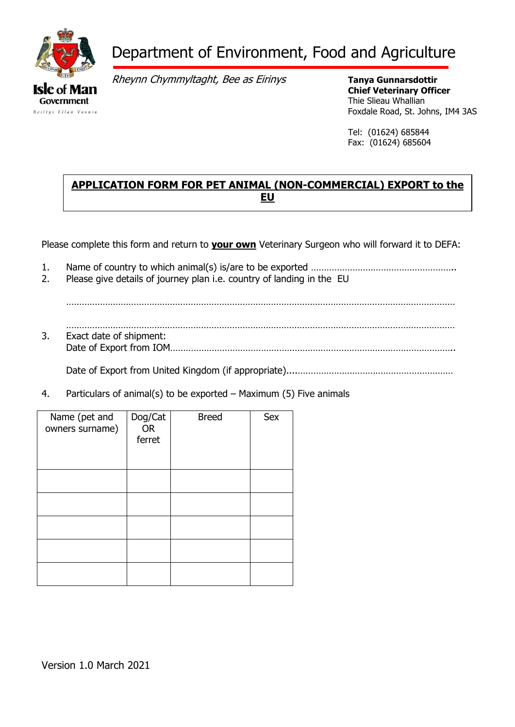

# Department of Environment, Food and Agriculture

Rheynn Chymmyltaght, Bee as Eirinys

**Tanya Gunnarsdottir Chief Veterinary Officer** Thie Slieau Whallian Foxdale Road, St. Johns, IM4 3AS

Tel: (01624) 685844 Fax: (01624) 685604 e-mail: Animal.Health@gov.im

# **APPLICATION FORM FOR PET ANIMAL (NON-COMMERCIAL) EXPORT to the EU**

Please complete this form and return to **your own** Veterinary Surgeon who will forward it to DEFA:

- 1. Name of country to which animal(s) is/are to be exported ………………………………………………..
- 2. Please give details of journey plan i.e. country of landing in the EU

……………………………………………………………………………………………………………………………………

…………………………………………………………………………………………………………………………………… 3. Exact date of shipment: Date of Export from IOM………………………………………………………………………………………………..

Date of Export from United Kingdom (if appropriate)....……………………………………………………

4. Particulars of animal(s) to be exported – Maximum (5) Five animals

| Name (pet and<br>owners surname) | Dog/Cat<br><b>OR</b><br>ferret | <b>Breed</b> | <b>Sex</b> |
|----------------------------------|--------------------------------|--------------|------------|
|                                  |                                |              |            |
|                                  |                                |              |            |
|                                  |                                |              |            |
|                                  |                                |              |            |
|                                  |                                |              |            |